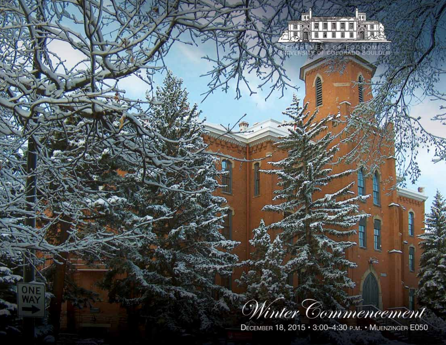## inter Commencement

閨

MENT OF ECONOMIC<br>Y OF COLORADO BOULDI

H E 畐

₹

**AWA** 

远处区

DECEMBER 18, 2015 · 3:00-4:30 P.M. · MUENZINGER E050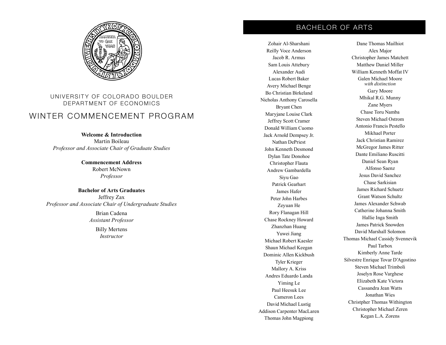

## UNIVERSITY OF COLORADO BOULDER DEPARTMENT OF ECONOMICS

## WINTER COMMENCEMENT PROGRAM

**Welcome & Introduction** Martin Boileau *Professor and Associate Chair of Graduate Studies*

> **Commencement Address** Robert McNown *Professor*

**Bachelor of Arts Graduates** Jeffrey Zax *Professor and Associate Chair of Undergraduate Studies*

> Brian Cadena *Assistant Professor*

> > Billy Mertens *Instructor*

## BACHELOR OF ARTS

Zohair Al-Sharshani Reilly Voce Anderson Jacob R. Armus Sam Louis Attebury Alexander Audi Lucas Robert Baker Avery Michael Benge Bo Christian Birkeland Nicholas Anthony Carosella Bryant Chen Maryjane Louise Clark Jeffrey Scott Cramer Donald William Cuomo Jack Arnold Dempsey Jr. Nathan DePriest John Kenneth Desmond Dylan Tate Donohoe Christopher Flauta Andrew Gambardella Siyu Gao Patrick Gearhart James Hafer Peter John Harbes Zeyuan He Rory Flanagan Hill Chase Rockney Howard Zhanzhan Huang Yuwei Jiang Michael Robert Kaesler Shaun Michael Keegan Dominic Allen Kickbush Tyler Krieger Mallory A. Kriss Andres Eduardo Landa Yiming Le Paul Heesuk Lee Cameron Lees David Michael Lustig Addison Carpenter MacLaren Thomas John Magpiong

Dane Thomas Mailhiot Alex Major Christopher James Matchett Matthew Daniel Miller William Kenneth Moffat IV Galen Michael Moore *with distinction* Gary Moore Mhikal R.G. Munny Zane Myers Chase Toru Namba Steven Michael Ostrom Antonio Francis Pestello Mikhael Porter Jack Christian Ramirez McGregor James Ritter Dante Emiliano Ruscitti Daniel Sean Ryan Alfonso Saenz Jesus David Sanchez Chase Sarkisian James Richard Schuetz Grant Watson Schultz James Alexander Schwab Catherine Johanna Smith Hallie Inga Smith James Patrick Snowden David Marshall Solomon Thomas Michael Cassidy Svennevik Paul Tarbox Kimberly Anne Tarde Silvestre Enrique Tovar D'Agostino Steven Michael Trimboli Joselyn Rose Varghese Elizabeth Kate Victora Cassandra Jean Watts Jonathan Wies Christpher Thomas Withington Christopher Michael Zeren Kegan L.A. Zorens